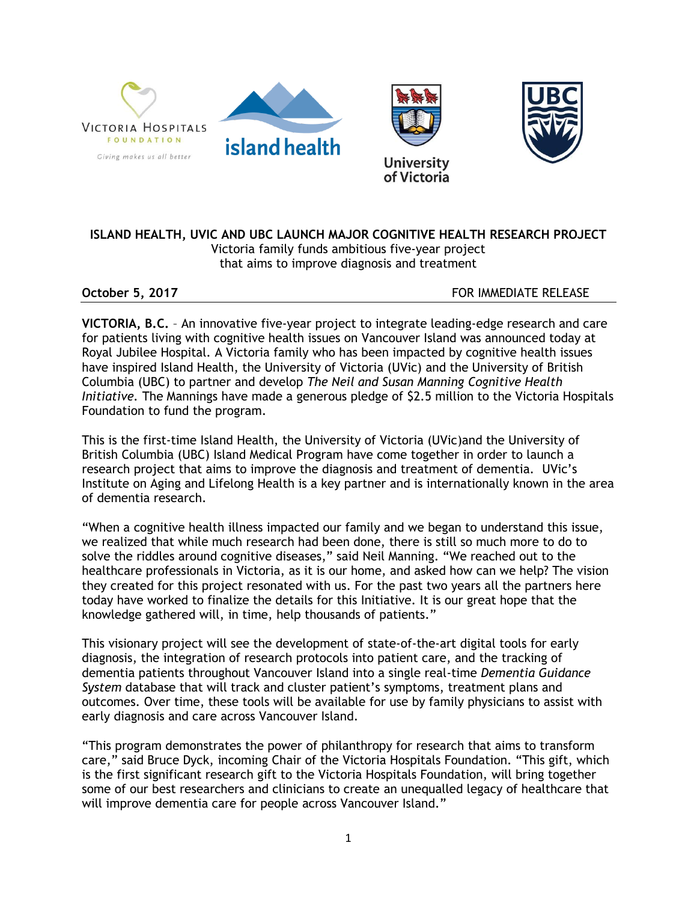

## **ISLAND HEALTH, UVIC AND UBC LAUNCH MAJOR COGNITIVE HEALTH RESEARCH PROJECT** Victoria family funds ambitious five-year project that aims to improve diagnosis and treatment

**October 5, 2017 FOR IMMEDIATE RELEASE** 

**VICTORIA, B.C.** – An innovative five-year project to integrate leading-edge research and care for patients living with cognitive health issues on Vancouver Island was announced today at Royal Jubilee Hospital. A Victoria family who has been impacted by cognitive health issues have inspired Island Health, the University of Victoria (UVic) and the University of British Columbia (UBC) to partner and develop *The Neil and Susan Manning Cognitive Health Initiative.* The Mannings have made a generous pledge of \$2.5 million to the Victoria Hospitals Foundation to fund the program.

This is the first-time Island Health, the University of Victoria (UVic)and the University of British Columbia (UBC) Island Medical Program have come together in order to launch a research project that aims to improve the diagnosis and treatment of dementia. UVic's Institute on Aging and Lifelong Health is a key partner and is internationally known in the area of dementia research.

"When a cognitive health illness impacted our family and we began to understand this issue, we realized that while much research had been done, there is still so much more to do to solve the riddles around cognitive diseases," said Neil Manning. "We reached out to the healthcare professionals in Victoria, as it is our home, and asked how can we help? The vision they created for this project resonated with us. For the past two years all the partners here today have worked to finalize the details for this Initiative. It is our great hope that the knowledge gathered will, in time, help thousands of patients."

This visionary project will see the development of state-of-the-art digital tools for early diagnosis, the integration of research protocols into patient care, and the tracking of dementia patients throughout Vancouver Island into a single real-time *Dementia Guidance System* database that will track and cluster patient's symptoms, treatment plans and outcomes. Over time, these tools will be available for use by family physicians to assist with early diagnosis and care across Vancouver Island.

"This program demonstrates the power of philanthropy for research that aims to transform care," said Bruce Dyck, incoming Chair of the Victoria Hospitals Foundation. "This gift, which is the first significant research gift to the Victoria Hospitals Foundation, will bring together some of our best researchers and clinicians to create an unequalled legacy of healthcare that will improve dementia care for people across Vancouver Island."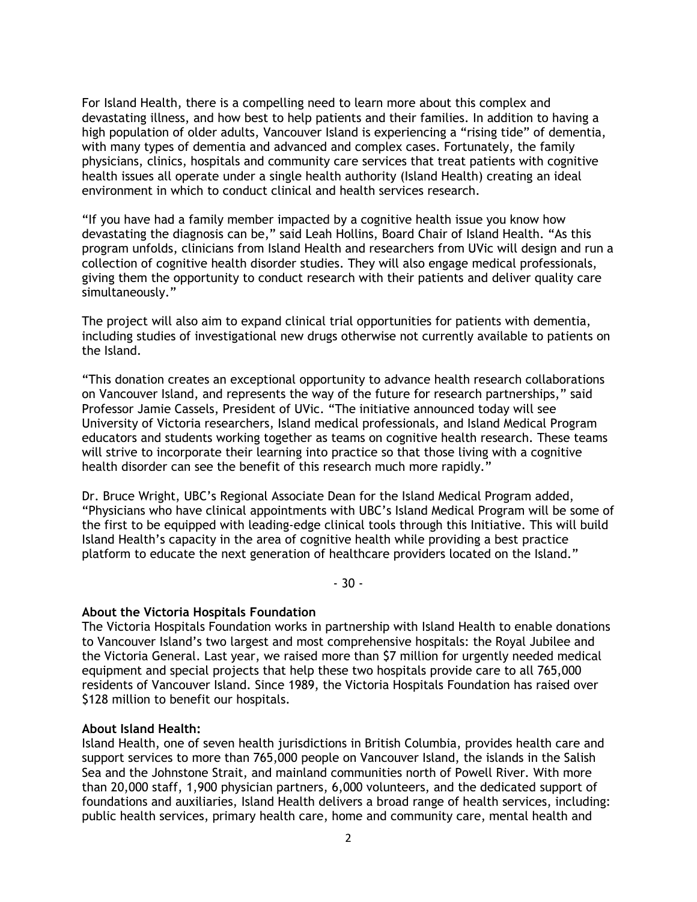For Island Health, there is a compelling need to learn more about this complex and devastating illness, and how best to help patients and their families. In addition to having a high population of older adults, Vancouver Island is experiencing a "rising tide" of dementia, with many types of dementia and advanced and complex cases. Fortunately, the family physicians, clinics, hospitals and community care services that treat patients with cognitive health issues all operate under a single health authority (Island Health) creating an ideal environment in which to conduct clinical and health services research.

"If you have had a family member impacted by a cognitive health issue you know how devastating the diagnosis can be," said Leah Hollins, Board Chair of Island Health. "As this program unfolds, clinicians from Island Health and researchers from UVic will design and run a collection of cognitive health disorder studies. They will also engage medical professionals, giving them the opportunity to conduct research with their patients and deliver quality care simultaneously."

The project will also aim to expand clinical trial opportunities for patients with dementia, including studies of investigational new drugs otherwise not currently available to patients on the Island.

"This donation creates an exceptional opportunity to advance health research collaborations on Vancouver Island, and represents the way of the future for research partnerships," said Professor Jamie Cassels, President of UVic. "The initiative announced today will see University of Victoria researchers, Island medical professionals, and Island Medical Program educators and students working together as teams on cognitive health research. These teams will strive to incorporate their learning into practice so that those living with a cognitive health disorder can see the benefit of this research much more rapidly."

Dr. Bruce Wright, UBC's Regional Associate Dean for the Island Medical Program added, "Physicians who have clinical appointments with UBC's Island Medical Program will be some of the first to be equipped with leading-edge clinical tools through this Initiative. This will build Island Health's capacity in the area of cognitive health while providing a best practice platform to educate the next generation of healthcare providers located on the Island."

- 30 -

## **About the Victoria Hospitals Foundation**

The Victoria Hospitals Foundation works in partnership with Island Health to enable donations to Vancouver Island's two largest and most comprehensive hospitals: the Royal Jubilee and the Victoria General. Last year, we raised more than \$7 million for urgently needed medical equipment and special projects that help these two hospitals provide care to all 765,000 residents of Vancouver Island. Since 1989, the Victoria Hospitals Foundation has raised over \$128 million to benefit our hospitals.

## **About Island Health:**

Island Health, one of seven health jurisdictions in British Columbia, provides health care and support services to more than 765,000 people on Vancouver Island, the islands in the Salish Sea and the Johnstone Strait, and mainland communities north of Powell River. With more than 20,000 staff, 1,900 physician partners, 6,000 volunteers, and the dedicated support of foundations and auxiliaries, Island Health delivers a broad range of health services, including: public health services, primary health care, home and community care, mental health and